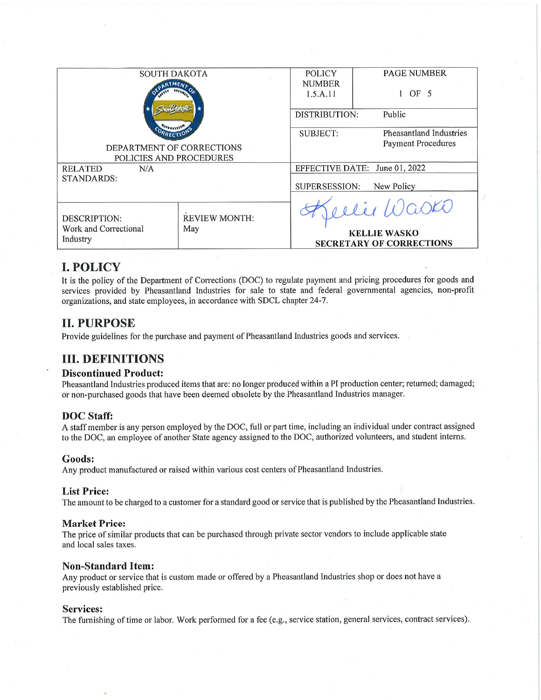| <b>SOUTH DAKOTA</b>       |                      | <b>POLICY</b>                 | <b>PAGE NUMBER</b>          |                                 |
|---------------------------|----------------------|-------------------------------|-----------------------------|---------------------------------|
|                           |                      | <b>NUMBER</b>                 |                             |                                 |
|                           |                      | 1.5.A.11                      | OF 5                        |                                 |
|                           |                      |                               |                             |                                 |
|                           |                      | <b>DISTRIBUTION:</b>          | Public                      |                                 |
|                           |                      |                               | <b>SUBJECT:</b>             | Pheasantland Industries         |
|                           |                      |                               |                             |                                 |
| DEPARTMENT OF CORRECTIONS |                      |                               | <b>Payment Procedures</b>   |                                 |
|                           |                      |                               |                             |                                 |
| POLICIES AND PROCEDURES   |                      |                               |                             |                                 |
| N/A<br><b>RELATED</b>     |                      | EFFECTIVE DATE: June 01, 2022 |                             |                                 |
| STANDARDS:                |                      |                               |                             |                                 |
|                           |                      |                               | SUPERSESSION:<br>New Policy |                                 |
|                           |                      |                               |                             |                                 |
|                           |                      |                               |                             | elie Waski                      |
|                           |                      |                               |                             |                                 |
| <b>DESCRIPTION:</b>       | <b>REVIEW MONTH:</b> |                               |                             |                                 |
| Work and Correctional     | May                  |                               |                             |                                 |
| Industry                  |                      |                               |                             | <b>KELLIE WASKO</b>             |
|                           |                      |                               |                             | <b>SECRETARY OF CORRECTIONS</b> |
|                           |                      |                               |                             |                                 |

# **I. POLICY**

It is the policy of the Department of Corrections (DOC) to regulate payment and pricing procedures for goods and services provided by Pheasantland Industries for sale to state and federal governmental agencies, non-profit organizations, and state employees, in accordance with SDCL chapter 24-7.

## **II. PURPOSE**

Provide guidelines for the purchase and payment of Pheasantland Industries goods and services.

## **III. DEFINITIONS**

#### **Discontinued Product:**

Pheasantland Industries produced items that are: no longer produced within a PI production center; returned; damaged; or non-purchased goods that have been deemed obsolete by the Pheasantland Industries manager.

### **DOC** Staff:

A staff member is any person employed by the DOC, full or part time, including an individual under contract assigned to the DOC, an employee of another State agency assigned to the DOC, authorized volunteers, and student interns.

#### Goods:

Any product manufactured or raised within various cost centers of Pheasantland Industries.

#### **List Price:**

The amount to be charged to a customer for a standard good or service that is published by the Pheasantland Industries.

#### **Market Price:**

The price of similar products that can be purchased through private sector vendors to include applicable state and local sales taxes.

#### **Non-Standard Item:**

Any product or service that is custom made or offered by a Pheasantland Industries shop or does not have a previously established price.

#### **Services:**

The furnishing of time or labor. Work performed for a fee (e.g., service station, general services, contract services).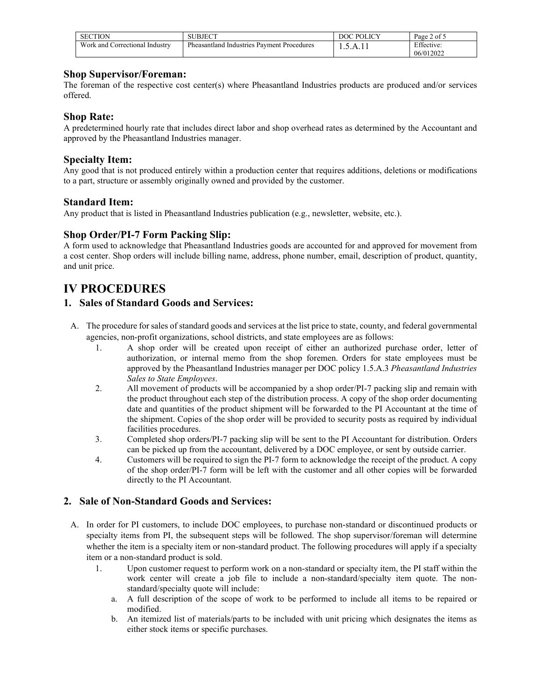| <b>SECTION</b>                    | SUBJECT                                               | <b>DOC POLICY</b>   | Page 2 of 5 |
|-----------------------------------|-------------------------------------------------------|---------------------|-------------|
| Work and<br>Correctional Industry | Pheasantland<br>! Industries<br>Payment<br>Procedures | 1. <i>J</i> . T. II | Effective:  |
|                                   |                                                       |                     | 06/012022   |

#### **Shop Supervisor/Foreman:**

The foreman of the respective cost center(s) where Pheasantland Industries products are produced and/or services offered.

#### **Shop Rate:**

A predetermined hourly rate that includes direct labor and shop overhead rates as determined by the Accountant and approved by the Pheasantland Industries manager.

#### **Specialty Item:**

Any good that is not produced entirely within a production center that requires additions, deletions or modifications to a part, structure or assembly originally owned and provided by the customer.

#### **Standard Item:**

Any product that is listed in Pheasantland Industries publication (e.g., newsletter, website, etc.).

#### **Shop Order/PI-7 Form Packing Slip:**

A form used to acknowledge that Pheasantland Industries goods are accounted for and approved for movement from a cost center. Shop orders will include billing name, address, phone number, email, description of product, quantity, and unit price.

## **IV PROCEDURES**

### **1. Sales of Standard Goods and Services:**

- A. The procedure for sales of standard goods and services at the list price to state, county, and federal governmental agencies, non-profit organizations, school districts, and state employees are as follows:
	- 1. A shop order will be created upon receipt of either an authorized purchase order, letter of authorization, or internal memo from the shop foremen. Orders for state employees must be approved by the Pheasantland Industries manager per DOC policy 1.5.A.3 *Pheasantland Industries Sales to State Employees*.
	- 2. All movement of products will be accompanied by a shop order/PI-7 packing slip and remain with the product throughout each step of the distribution process. A copy of the shop order documenting date and quantities of the product shipment will be forwarded to the PI Accountant at the time of the shipment. Copies of the shop order will be provided to security posts as required by individual facilities procedures.
	- 3. Completed shop orders/PI-7 packing slip will be sent to the PI Accountant for distribution. Orders can be picked up from the accountant, delivered by a DOC employee, or sent by outside carrier.
	- 4. Customers will be required to sign the PI-7 form to acknowledge the receipt of the product. A copy of the shop order/PI-7 form will be left with the customer and all other copies will be forwarded directly to the PI Accountant.

#### **2. Sale of Non-Standard Goods and Services:**

- A. In order for PI customers, to include DOC employees, to purchase non-standard or discontinued products or specialty items from PI, the subsequent steps will be followed. The shop supervisor/foreman will determine whether the item is a specialty item or non-standard product. The following procedures will apply if a specialty item or a non-standard product is sold.
	- 1. Upon customer request to perform work on a non-standard or specialty item, the PI staff within the work center will create a job file to include a non-standard/specialty item quote. The nonstandard/specialty quote will include:
		- a. A full description of the scope of work to be performed to include all items to be repaired or modified.
		- b. An itemized list of materials/parts to be included with unit pricing which designates the items as either stock items or specific purchases.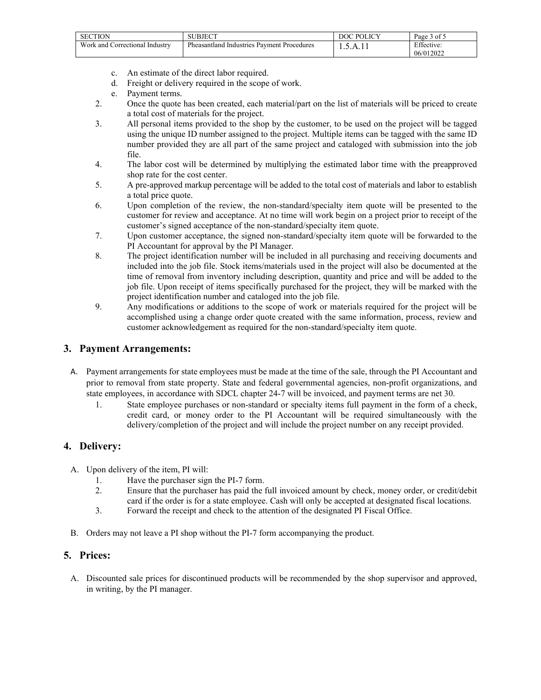| <b>SECTION</b>                             | <b>JBJECT</b>                                     | <b>POLICY</b> | $\sim$<br>- of 5<br>Page 5 |
|--------------------------------------------|---------------------------------------------------|---------------|----------------------------|
| Work and <b>v</b><br>Correctional Industry | <b>Pheasantland Industries Payment Procedures</b> | $\cdots$      | Effective:                 |
|                                            |                                                   |               | 06/012022                  |

- c. An estimate of the direct labor required.
- d. Freight or delivery required in the scope of work.
- e. Payment terms.
- 2. Once the quote has been created, each material/part on the list of materials will be priced to create a total cost of materials for the project.
- 3. All personal items provided to the shop by the customer, to be used on the project will be tagged using the unique ID number assigned to the project. Multiple items can be tagged with the same ID number provided they are all part of the same project and cataloged with submission into the job file.
- 4. The labor cost will be determined by multiplying the estimated labor time with the preapproved shop rate for the cost center.
- 5. A pre-approved markup percentage will be added to the total cost of materials and labor to establish a total price quote.
- 6. Upon completion of the review, the non-standard/specialty item quote will be presented to the customer for review and acceptance. At no time will work begin on a project prior to receipt of the customer's signed acceptance of the non-standard/specialty item quote.
- 7. Upon customer acceptance, the signed non-standard/specialty item quote will be forwarded to the PI Accountant for approval by the PI Manager.
- 8. The project identification number will be included in all purchasing and receiving documents and included into the job file. Stock items/materials used in the project will also be documented at the time of removal from inventory including description, quantity and price and will be added to the job file. Upon receipt of items specifically purchased for the project, they will be marked with the project identification number and cataloged into the job file.
- 9. Any modifications or additions to the scope of work or materials required for the project will be accomplished using a change order quote created with the same information, process, review and customer acknowledgement as required for the non-standard/specialty item quote.

#### **3. Payment Arrangements:**

- A. Payment arrangements for state employees must be made at the time of the sale, through the PI Accountant and prior to removal from state property. State and federal governmental agencies, non-profit organizations, and state employees, in accordance with SDCL chapter 24-7 will be invoiced, and payment terms are net 30.
	- 1. State employee purchases or non-standard or specialty items full payment in the form of a check, credit card, or money order to the PI Accountant will be required simultaneously with the delivery/completion of the project and will include the project number on any receipt provided.

### **4. Delivery:**

- A. Upon delivery of the item, PI will:
	- 1. Have the purchaser sign the PI-7 form.<br>2. Ensure that the purchaser has paid the
	- 2. Ensure that the purchaser has paid the full invoiced amount by check, money order, or credit/debit card if the order is for a state employee. Cash will only be accepted at designated fiscal locations.
	- 3. Forward the receipt and check to the attention of the designated PI Fiscal Office.
- B. Orders may not leave a PI shop without the PI-7 form accompanying the product.

#### **5. Prices:**

A. Discounted sale prices for discontinued products will be recommended by the shop supervisor and approved, in writing, by the PI manager.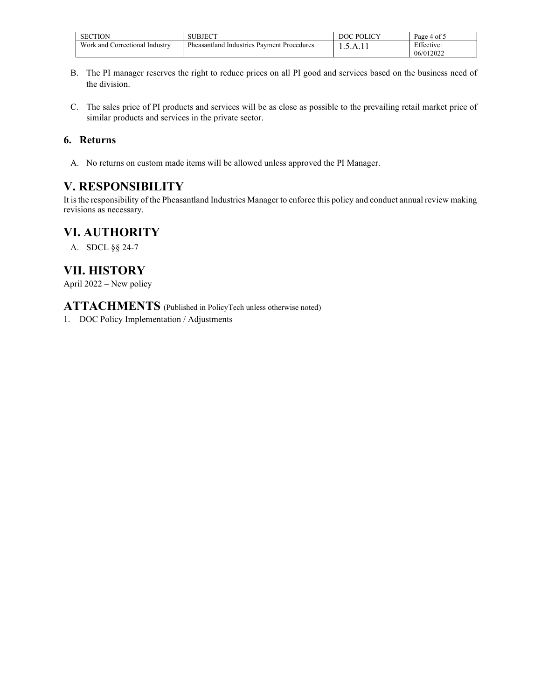| <b>SECTION</b>                 | SUBJECT                                             | <b>POLICY</b><br>DOC | $\sim$<br>Page 4 of 5 |
|--------------------------------|-----------------------------------------------------|----------------------|-----------------------|
| Work and Correctional Industry | Pheasantland.<br>Pavment Procedures<br>. Industries | 1.7.11               | Effective:            |
|                                |                                                     |                      | 06/012022             |

- B. The PI manager reserves the right to reduce prices on all PI good and services based on the business need of the division.
- C. The sales price of PI products and services will be as close as possible to the prevailing retail market price of similar products and services in the private sector.

### **6. Returns**

A. No returns on custom made items will be allowed unless approved the PI Manager.

# **V. RESPONSIBILITY**

It is the responsibility of the Pheasantland Industries Manager to enforce this policy and conduct annual review making revisions as necessary.

## **VI. AUTHORITY**

A. SDCL §§ 24-7

# **VII. HISTORY**

April 2022 – New policy

**ATTACHMENTS** (Published in PolicyTech unless otherwise noted)

1. DOC Policy Implementation / Adjustments